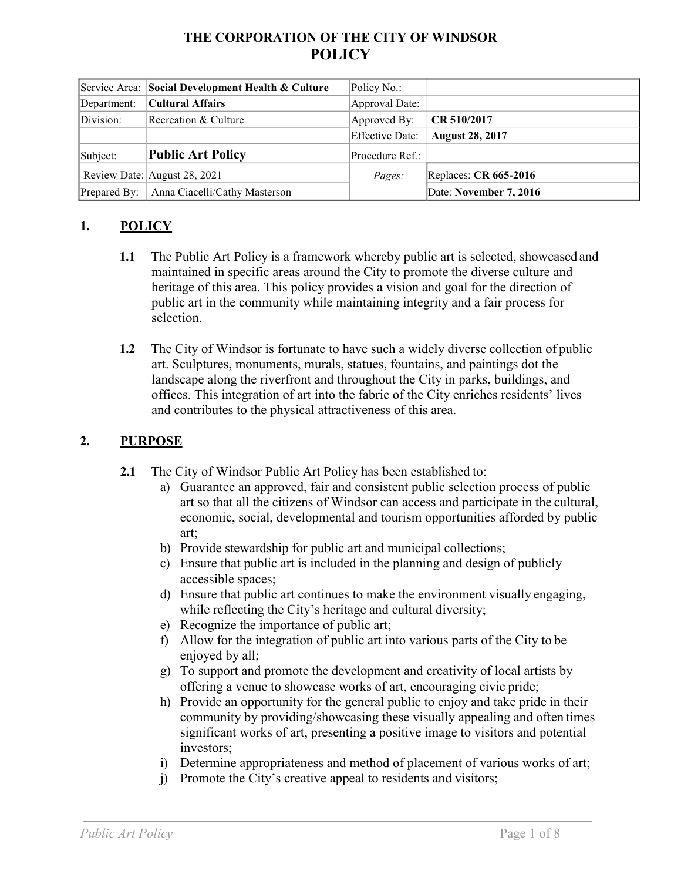## **THE CORPORATION OF THE CITY OF WINDSOR POLICY**

|              | Service Area: Social Development Health & Culture | Policy No.:     |                        |
|--------------|---------------------------------------------------|-----------------|------------------------|
| Department:  | Cultural Affairs                                  | Approval Date:  |                        |
| Division:    | Recreation & Culture                              | Approved By:    | CR 510/2017            |
|              |                                                   | Effective Date: | <b>August 28, 2017</b> |
| Subject:     | <b>Public Art Policy</b>                          | Procedure Ref.: |                        |
|              | Review Date: August 28, 2021                      | Pages:          | Replaces: CR 665-2016  |
| Prepared By: | Anna Ciacelli/Cathy Masterson                     |                 | Date: November 7, 2016 |

#### **1. POLICY**

- **1.1** The Public Art Policy is a framework whereby public art is selected, showcased and maintained in specific areas around the City to promote the diverse culture and heritage of this area. This policy provides a vision and goal for the direction of public art in the community while maintaining integrity and a fair process for selection.
- **1.2** The City of Windsor is fortunate to have such a widely diverse collection of public art. Sculptures, monuments, murals, statues, fountains, and paintings dot the landscape along the riverfront and throughout the City in parks, buildings, and offices. This integration of art into the fabric of the City enriches residents' lives and contributes to the physical attractiveness of this area.

#### **2. PURPOSE**

- **2.1** The City of Windsor Public Art Policy has been established to:
	- a) Guarantee an approved, fair and consistent public selection process of public art so that all the citizens of Windsor can access and participate in the cultural, economic, social, developmental and tourism opportunities afforded by public art;
	- b) Provide stewardship for public art and municipal collections;
	- c) Ensure that public art is included in the planning and design of publicly accessible spaces;
	- d) Ensure that public art continues to make the environment visually engaging, while reflecting the City's heritage and cultural diversity;
	- e) Recognize the importance of public art;
	- f) Allow for the integration of public art into various parts of the City to be enjoyed by all;
	- g) To support and promote the development and creativity of local artists by offering a venue to showcase works of art, encouraging civic pride;
	- h) Provide an opportunity for the general public to enjoy and take pride in their community by providing/showcasing these visually appealing and often times significant works of art, presenting a positive image to visitors and potential investors;
	- i) Determine appropriateness and method of placement of various works of art;
	- j) Promote the City's creative appeal to residents and visitors;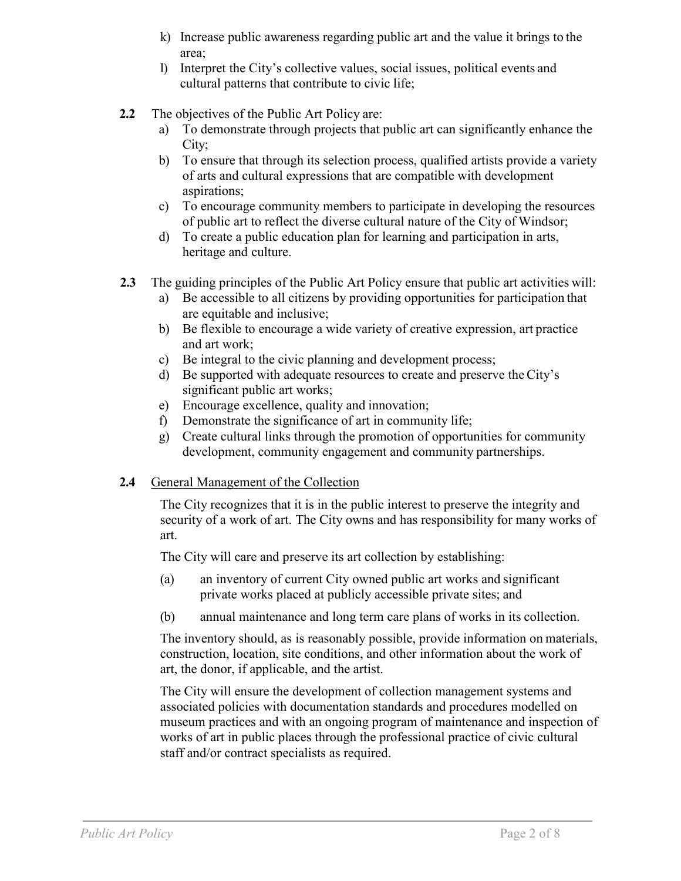- k) Increase public awareness regarding public art and the value it brings to the area;
- l) Interpret the City's collective values, social issues, political events and cultural patterns that contribute to civic life;
- **2.2** The objectives of the Public Art Policy are:
	- a) To demonstrate through projects that public art can significantly enhance the City;
	- b) To ensure that through its selection process, qualified artists provide a variety of arts and cultural expressions that are compatible with development aspirations;
	- c) To encourage community members to participate in developing the resources of public art to reflect the diverse cultural nature of the City of Windsor;
	- d) To create a public education plan for learning and participation in arts, heritage and culture.
- **2.3** The guiding principles of the Public Art Policy ensure that public art activities will:
	- a) Be accessible to all citizens by providing opportunities for participation that are equitable and inclusive;
	- b) Be flexible to encourage a wide variety of creative expression, art practice and art work;
	- c) Be integral to the civic planning and development process;
	- d) Be supported with adequate resources to create and preserve theCity's significant public art works;
	- e) Encourage excellence, quality and innovation;
	- f) Demonstrate the significance of art in community life;
	- g) Create cultural links through the promotion of opportunities for community development, community engagement and community partnerships.

### **2.4** General Management of the Collection

The City recognizes that it is in the public interest to preserve the integrity and security of a work of art. The City owns and has responsibility for many works of art.

The City will care and preserve its art collection by establishing:

- (a) an inventory of current City owned public art works and significant private works placed at publicly accessible private sites; and
- (b) annual maintenance and long term care plans of works in its collection.

The inventory should, as is reasonably possible, provide information on materials, construction, location, site conditions, and other information about the work of art, the donor, if applicable, and the artist.

The City will ensure the development of collection management systems and associated policies with documentation standards and procedures modelled on museum practices and with an ongoing program of maintenance and inspection of works of art in public places through the professional practice of civic cultural staff and/or contract specialists as required.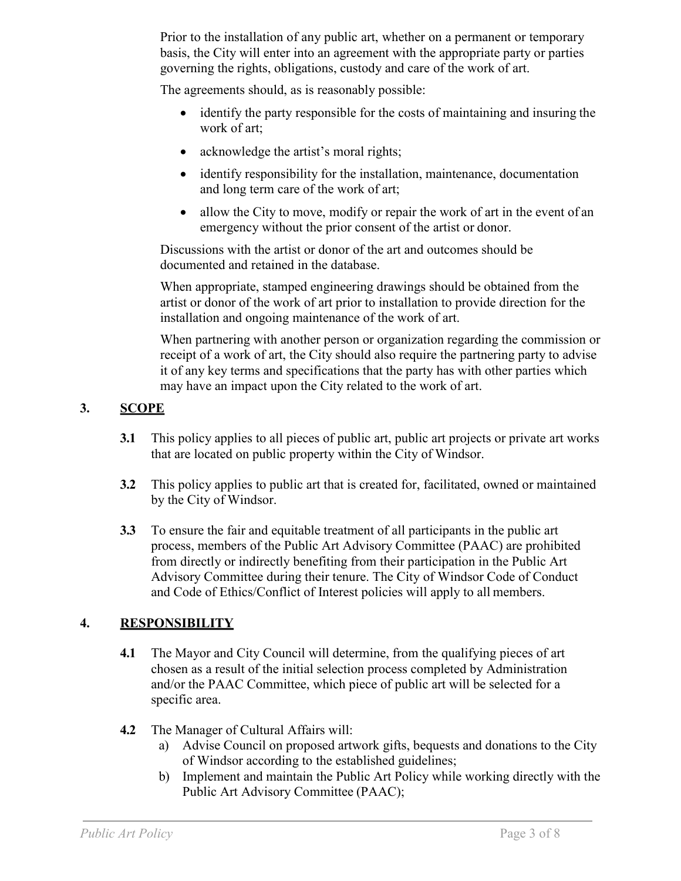Prior to the installation of any public art, whether on a permanent or temporary basis, the City will enter into an agreement with the appropriate party or parties governing the rights, obligations, custody and care of the work of art.

The agreements should, as is reasonably possible:

- identify the party responsible for the costs of maintaining and insuring the work of art;
- acknowledge the artist's moral rights;
- identify responsibility for the installation, maintenance, documentation and long term care of the work of art;
- allow the City to move, modify or repair the work of art in the event of an emergency without the prior consent of the artist or donor.

Discussions with the artist or donor of the art and outcomes should be documented and retained in the database.

When appropriate, stamped engineering drawings should be obtained from the artist or donor of the work of art prior to installation to provide direction for the installation and ongoing maintenance of the work of art.

When partnering with another person or organization regarding the commission or receipt of a work of art, the City should also require the partnering party to advise it of any key terms and specifications that the party has with other parties which may have an impact upon the City related to the work of art.

### **3. SCOPE**

- **3.1** This policy applies to all pieces of public art, public art projects or private art works that are located on public property within the City of Windsor.
- **3.2** This policy applies to public art that is created for, facilitated, owned or maintained by the City of Windsor.
- **3.3** To ensure the fair and equitable treatment of all participants in the public art process, members of the Public Art Advisory Committee (PAAC) are prohibited from directly or indirectly benefiting from their participation in the Public Art Advisory Committee during their tenure. The City of Windsor Code of Conduct and Code of Ethics/Conflict of Interest policies will apply to all members.

### **4. RESPONSIBILITY**

- **4.1** The Mayor and City Council will determine, from the qualifying pieces of art chosen as a result of the initial selection process completed by Administration and/or the PAAC Committee, which piece of public art will be selected for a specific area.
- **4.2** The Manager of Cultural Affairs will:
	- a) Advise Council on proposed artwork gifts, bequests and donations to the City of Windsor according to the established guidelines;
	- b) Implement and maintain the Public Art Policy while working directly with the Public Art Advisory Committee (PAAC);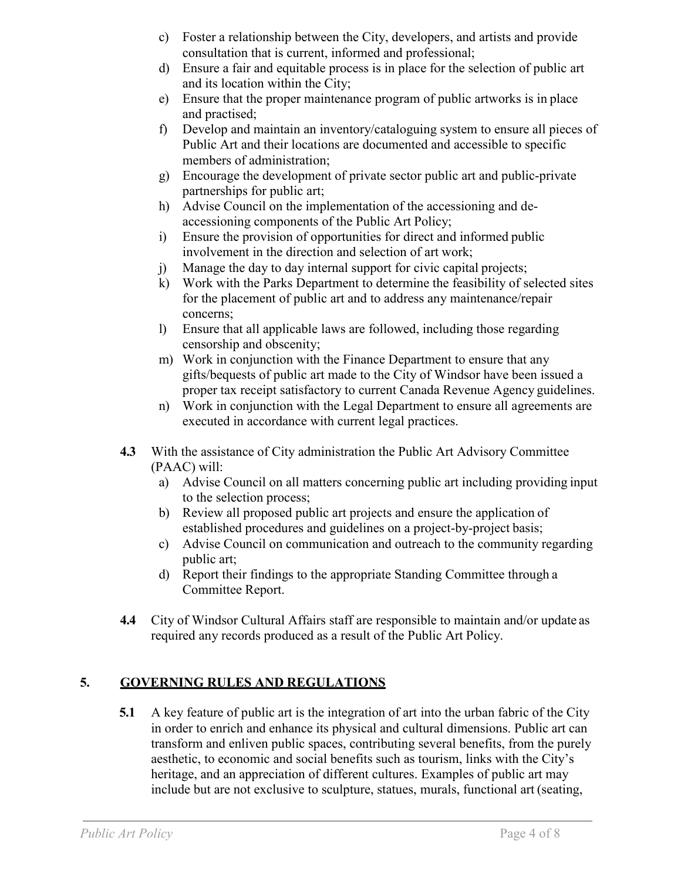- c) Foster a relationship between the City, developers, and artists and provide consultation that is current, informed and professional;
- d) Ensure a fair and equitable process is in place for the selection of public art and its location within the City;
- e) Ensure that the proper maintenance program of public artworks is in place and practised;
- f) Develop and maintain an inventory/cataloguing system to ensure all pieces of Public Art and their locations are documented and accessible to specific members of administration;
- g) Encourage the development of private sector public art and public-private partnerships for public art;
- h) Advise Council on the implementation of the accessioning and deaccessioning components of the Public Art Policy;
- i) Ensure the provision of opportunities for direct and informed public involvement in the direction and selection of art work;
- j) Manage the day to day internal support for civic capital projects;
- k) Work with the Parks Department to determine the feasibility of selected sites for the placement of public art and to address any maintenance/repair concerns;
- l) Ensure that all applicable laws are followed, including those regarding censorship and obscenity;
- m) Work in conjunction with the Finance Department to ensure that any gifts/bequests of public art made to the City of Windsor have been issued a proper tax receipt satisfactory to current Canada Revenue Agency guidelines.
- n) Work in conjunction with the Legal Department to ensure all agreements are executed in accordance with current legal practices.
- **4.3** With the assistance of City administration the Public Art Advisory Committee (PAAC) will:
	- a) Advise Council on all matters concerning public art including providing input to the selection process;
	- b) Review all proposed public art projects and ensure the application of established procedures and guidelines on a project-by-project basis;
	- c) Advise Council on communication and outreach to the community regarding public art;
	- d) Report their findings to the appropriate Standing Committee through a Committee Report.
- **4.4** City of Windsor Cultural Affairs staff are responsible to maintain and/or update as required any records produced as a result of the Public Art Policy.

# **5. GOVERNING RULES AND REGULATIONS**

**5.1** A key feature of public art is the integration of art into the urban fabric of the City in order to enrich and enhance its physical and cultural dimensions. Public art can transform and enliven public spaces, contributing several benefits, from the purely aesthetic, to economic and social benefits such as tourism, links with the City's heritage, and an appreciation of different cultures. Examples of public art may include but are not exclusive to sculpture, statues, murals, functional art (seating,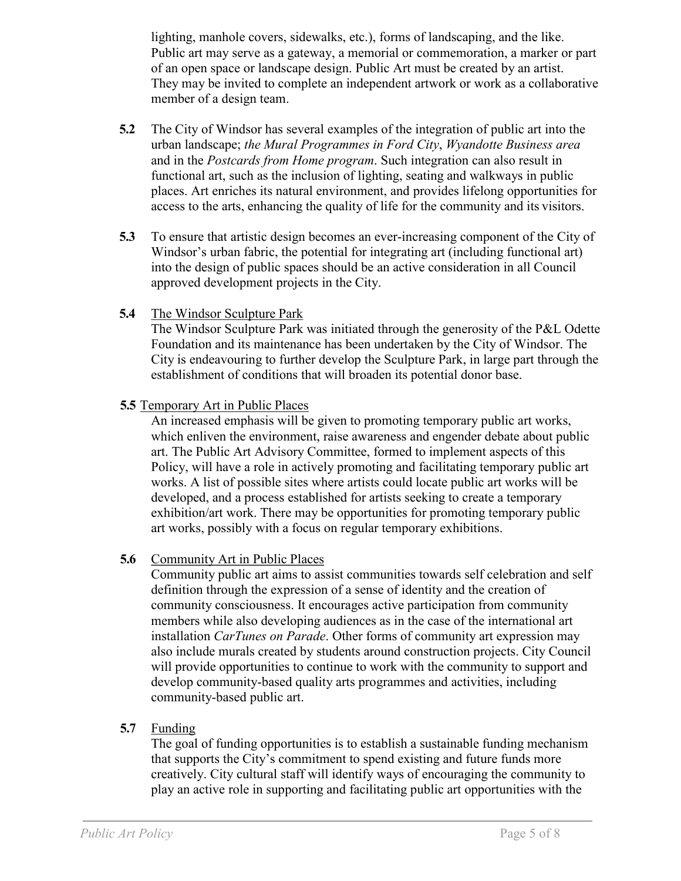lighting, manhole covers, sidewalks, etc.), forms of landscaping, and the like. Public art may serve as a gateway, a memorial or commemoration, a marker or part of an open space or landscape design. Public Art must be created by an artist. They may be invited to complete an independent artwork or work as a collaborative member of a design team.

- **5.2** The City of Windsor has several examples of the integration of public art into the urban landscape; *the Mural Programmes in Ford City*, *Wyandotte Business area*  and in the *Postcards from Home program*. Such integration can also result in functional art, such as the inclusion of lighting, seating and walkways in public places. Art enriches its natural environment, and provides lifelong opportunities for access to the arts, enhancing the quality of life for the community and its visitors.
- **5.3** To ensure that artistic design becomes an ever-increasing component of the City of Windsor's urban fabric, the potential for integrating art (including functional art) into the design of public spaces should be an active consideration in all Council approved development projects in the City.
- **5.4** The Windsor Sculpture Park

The Windsor Sculpture Park was initiated through the generosity of the P&L Odette Foundation and its maintenance has been undertaken by the City of Windsor. The City is endeavouring to further develop the Sculpture Park, in large part through the establishment of conditions that will broaden its potential donor base.

**5.5** Temporary Art in Public Places

An increased emphasis will be given to promoting temporary public art works, which enliven the environment, raise awareness and engender debate about public art. The Public Art Advisory Committee, formed to implement aspects of this Policy, will have a role in actively promoting and facilitating temporary public art works. A list of possible sites where artists could locate public art works will be developed, and a process established for artists seeking to create a temporary exhibition/art work. There may be opportunities for promoting temporary public art works, possibly with a focus on regular temporary exhibitions.

### **5.6** Community Art in Public Places

Community public art aims to assist communities towards self celebration and self definition through the expression of a sense of identity and the creation of community consciousness. It encourages active participation from community members while also developing audiences as in the case of the international art installation *CarTunes on Parade*. Other forms of community art expression may also include murals created by students around construction projects. City Council will provide opportunities to continue to work with the community to support and develop community-based quality arts programmes and activities, including community-based public art.

#### **5.7** Funding

The goal of funding opportunities is to establish a sustainable funding mechanism that supports the City's commitment to spend existing and future funds more creatively. City cultural staff will identify ways of encouraging the community to play an active role in supporting and facilitating public art opportunities with the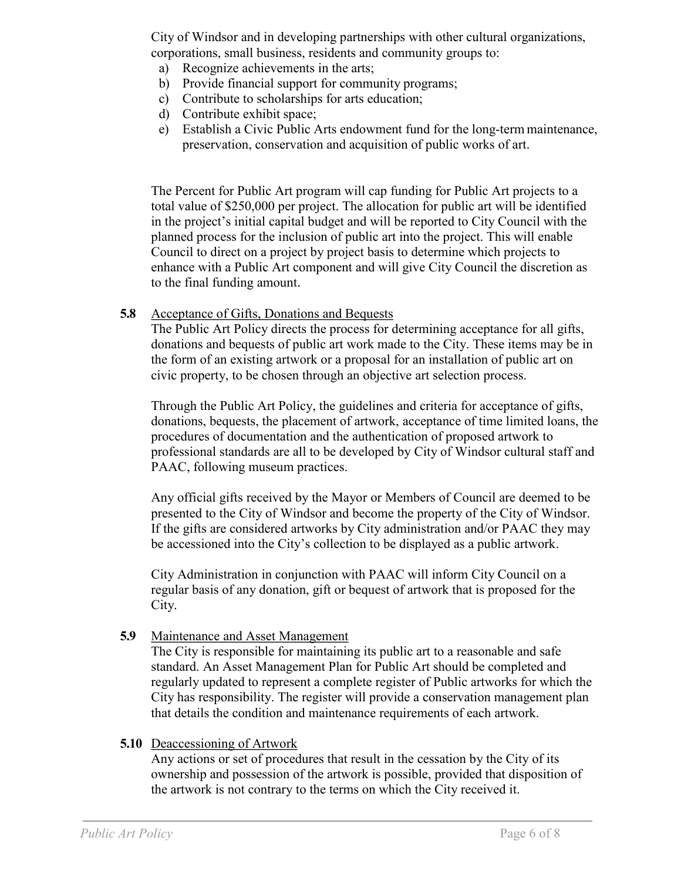City of Windsor and in developing partnerships with other cultural organizations, corporations, small business, residents and community groups to:

- a) Recognize achievements in the arts;
- b) Provide financial support for community programs;
- c) Contribute to scholarships for arts education;
- d) Contribute exhibit space;
- e) Establish a Civic Public Arts endowment fund for the long-term maintenance, preservation, conservation and acquisition of public works of art.

The Percent for Public Art program will cap funding for Public Art projects to a total value of \$250,000 per project. The allocation for public art will be identified in the project's initial capital budget and will be reported to City Council with the planned process for the inclusion of public art into the project. This will enable Council to direct on a project by project basis to determine which projects to enhance with a Public Art component and will give City Council the discretion as to the final funding amount.

#### **5.8** Acceptance of Gifts, Donations and Bequests

The Public Art Policy directs the process for determining acceptance for all gifts, donations and bequests of public art work made to the City. These items may be in the form of an existing artwork or a proposal for an installation of public art on civic property, to be chosen through an objective art selection process.

Through the Public Art Policy, the guidelines and criteria for acceptance of gifts, donations, bequests, the placement of artwork, acceptance of time limited loans, the procedures of documentation and the authentication of proposed artwork to professional standards are all to be developed by City of Windsor cultural staff and PAAC, following museum practices.

Any official gifts received by the Mayor or Members of Council are deemed to be presented to the City of Windsor and become the property of the City of Windsor. If the gifts are considered artworks by City administration and/or PAAC they may be accessioned into the City's collection to be displayed as a public artwork.

City Administration in conjunction with PAAC will inform City Council on a regular basis of any donation, gift or bequest of artwork that is proposed for the City.

#### **5.9** Maintenance and Asset Management

The City is responsible for maintaining its public art to a reasonable and safe standard. An Asset Management Plan for Public Art should be completed and regularly updated to represent a complete register of Public artworks for which the City has responsibility. The register will provide a conservation management plan that details the condition and maintenance requirements of each artwork.

#### **5.10** Deaccessioning of Artwork

Any actions or set of procedures that result in the cessation by the City of its ownership and possession of the artwork is possible, provided that disposition of the artwork is not contrary to the terms on which the City received it.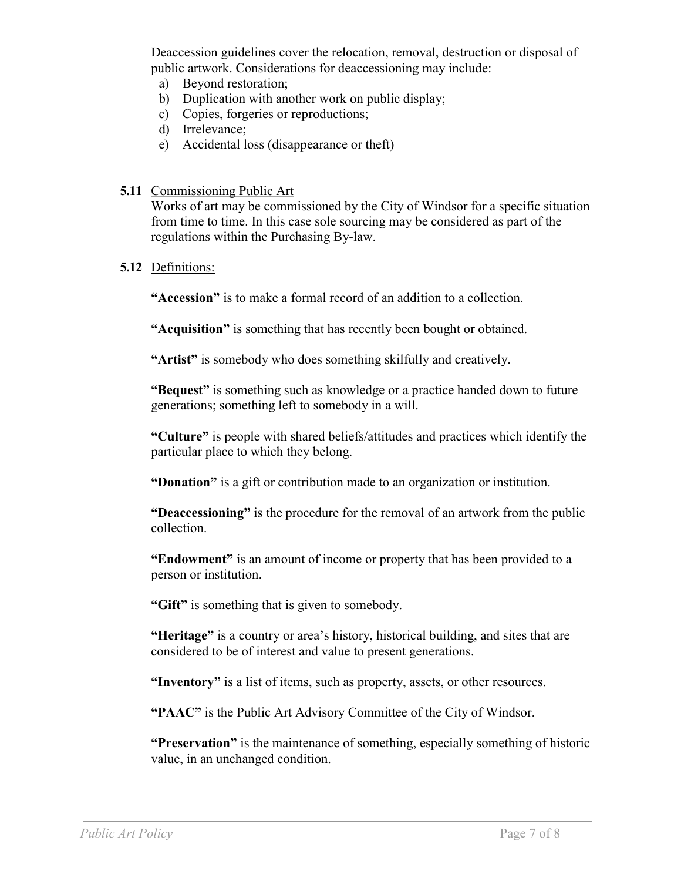Deaccession guidelines cover the relocation, removal, destruction or disposal of public artwork. Considerations for deaccessioning may include:

- a) Beyond restoration;
- b) Duplication with another work on public display;
- c) Copies, forgeries or reproductions;
- d) Irrelevance;
- e) Accidental loss (disappearance or theft)
- **5.11** Commissioning Public Art

Works of art may be commissioned by the City of Windsor for a specific situation from time to time. In this case sole sourcing may be considered as part of the regulations within the Purchasing By-law.

#### **5.12** Definitions:

**"Accession"** is to make a formal record of an addition to a collection.

**"Acquisition"** is something that has recently been bought or obtained.

**"Artist"** is somebody who does something skilfully and creatively.

**"Bequest"** is something such as knowledge or a practice handed down to future generations; something left to somebody in a will.

**"Culture"** is people with shared beliefs/attitudes and practices which identify the particular place to which they belong.

**"Donation"** is a gift or contribution made to an organization or institution.

**"Deaccessioning"** is the procedure for the removal of an artwork from the public collection.

**"Endowment"** is an amount of income or property that has been provided to a person or institution.

**"Gift"** is something that is given to somebody.

**"Heritage"** is a country or area's history, historical building, and sites that are considered to be of interest and value to present generations.

**"Inventory"** is a list of items, such as property, assets, or other resources.

**"PAAC"** is the Public Art Advisory Committee of the City of Windsor.

**"Preservation"** is the maintenance of something, especially something of historic value, in an unchanged condition.